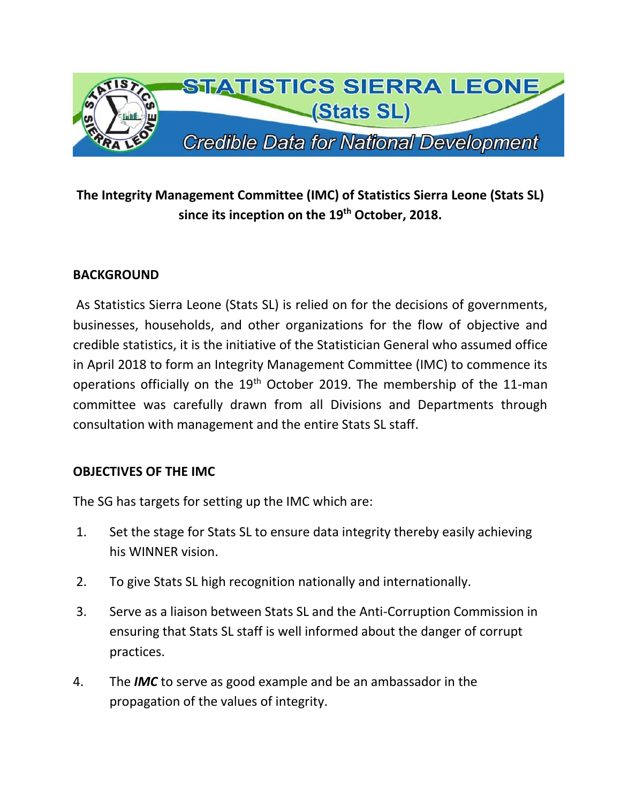

# **The Integrity Management Committee (IMC) of Statistics Sierra Leone (Stats SL) since its inception on the 19th October, 2018.**

## **BACKGROUND**

As Statistics Sierra Leone (Stats SL) is relied on for the decisions of governments, businesses, households, and other organizations for the flow of objective and credible statistics, it is the initiative of the Statistician General who assumed office in April 2018 to form an Integrity Management Committee (IMC) to commence its operations officially on the 19<sup>th</sup> October 2019. The membership of the 11-man committee was carefully drawn from all Divisions and Departments through consultation with management and the entire Stats SL staff.

#### **OBJECTIVES OF THE IMC**

The SG has targets for setting up the IMC which are:

- 1. Set the stage for Stats SL to ensure data integrity thereby easily achieving his WINNER vision.
- 2. To give Stats SL high recognition nationally and internationally.
- 3. Serve as a liaison between Stats SL and the Anti-Corruption Commission in ensuring that Stats SL staff is well informed about the danger of corrupt practices.
- 4. The *IMC* to serve as good example and be an ambassador in the propagation of the values of integrity.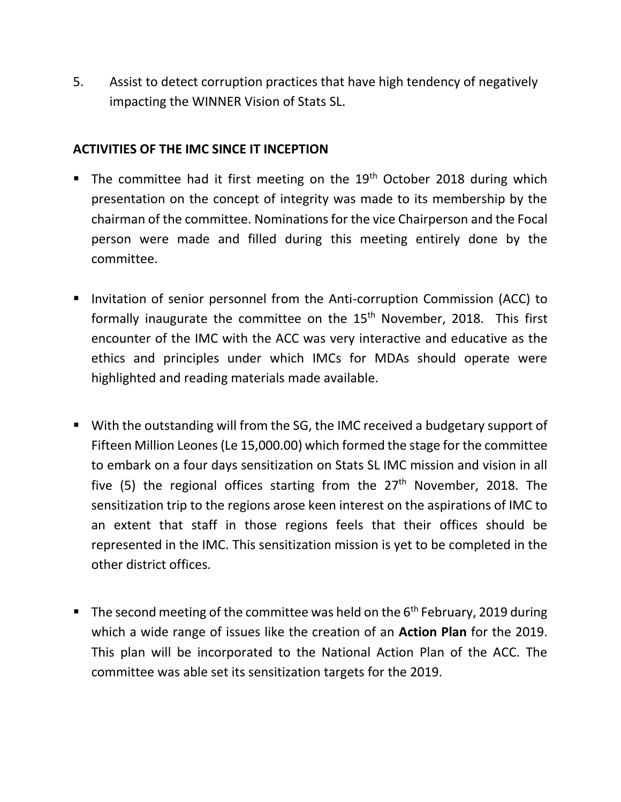5. Assist to detect corruption practices that have high tendency of negatively impacting the WINNER Vision of Stats SL.

#### **ACTIVITIES OF THE IMC SINCE IT INCEPTION**

- **•** The committee had it first meeting on the  $19<sup>th</sup>$  October 2018 during which presentation on the concept of integrity was made to its membership by the chairman of the committee. Nominations for the vice Chairperson and the Focal person were made and filled during this meeting entirely done by the committee.
- Invitation of senior personnel from the Anti-corruption Commission (ACC) to formally inaugurate the committee on the 15<sup>th</sup> November, 2018. This first encounter of the IMC with the ACC was very interactive and educative as the ethics and principles under which IMCs for MDAs should operate were highlighted and reading materials made available.
- With the outstanding will from the SG, the IMC received a budgetary support of Fifteen Million Leones (Le 15,000.00) which formed the stage for the committee to embark on a four days sensitization on Stats SL IMC mission and vision in all five (5) the regional offices starting from the  $27<sup>th</sup>$  November, 2018. The sensitization trip to the regions arose keen interest on the aspirations of IMC to an extent that staff in those regions feels that their offices should be represented in the IMC. This sensitization mission is yet to be completed in the other district offices.
- **•** The second meeting of the committee was held on the  $6<sup>th</sup>$  February, 2019 during which a wide range of issues like the creation of an **Action Plan** for the 2019. This plan will be incorporated to the National Action Plan of the ACC. The committee was able set its sensitization targets for the 2019.